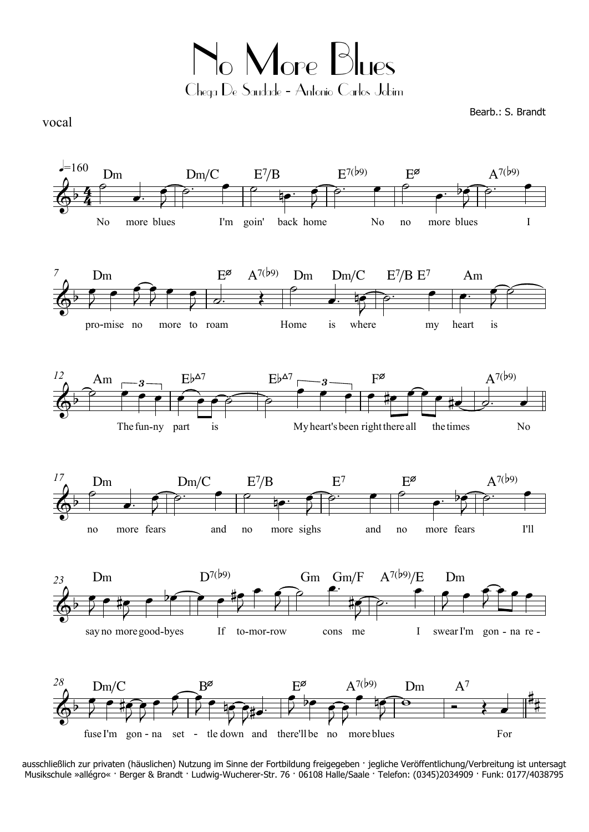No More Blues Chega De Saudade - Antonio Carlos Jobim

Bearb.: S. Brandt

vocal



ausschließlich zur privaten (häuslichen) Nutzung im Sinne der Fortbildung freigegeben · jegliche Veröffentlichung/Verbreitung ist untersagt Musikschule »allégro« · Berger & Brandt · Ludwig-Wucherer-Str. 76 · 06108 Halle/Saale · Telefon: (0345)2034909 · Funk: 0177/4038795